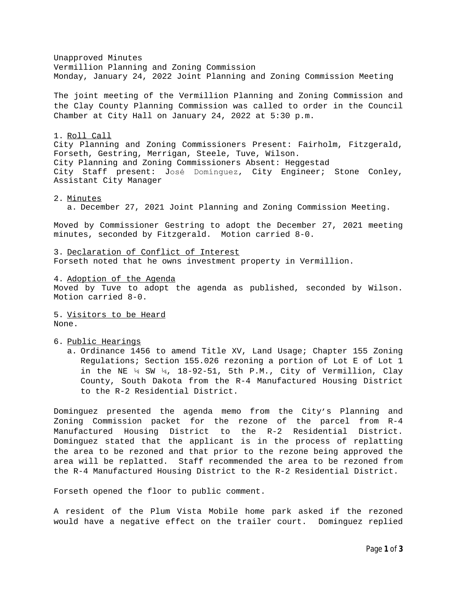Unapproved Minutes Vermillion Planning and Zoning Commission Monday, January 24, 2022 Joint Planning and Zoning Commission Meeting

The joint meeting of the Vermillion Planning and Zoning Commission and the Clay County Planning Commission was called to order in the Council Chamber at City Hall on January 24, 2022 at 5:30 p.m.

## 1. Roll Call

City Planning and Zoning Commissioners Present: Fairholm, Fitzgerald, Forseth, Gestring, Merrigan, Steele, Tuve, Wilson. City Planning and Zoning Commissioners Absent: Heggestad City Staff present: José Domínguez, City Engineer; Stone Conley, Assistant City Manager

## 2. Minutes

a. December 27, 2021 Joint Planning and Zoning Commission Meeting.

Moved by Commissioner Gestring to adopt the December 27, 2021 meeting minutes, seconded by Fitzgerald. Motion carried 8-0.

3. Declaration of Conflict of Interest Forseth noted that he owns investment property in Vermillion.

4. Adoption of the Agenda Moved by Tuve to adopt the agenda as published, seconded by Wilson. Motion carried 8-0.

5. Visitors to be Heard None.

6. Public Hearings

a. Ordinance 1456 to amend Title XV, Land Usage; Chapter 155 Zoning Regulations; Section 155.026 rezoning a portion of Lot E of Lot 1 in the NE  $\frac{1}{4}$  SW  $\frac{1}{4}$ , 18-92-51, 5th P.M., City of Vermillion, Clay County, South Dakota from the R-4 Manufactured Housing District to the R-2 Residential District.

Dominguez presented the agenda memo from the City's Planning and Zoning Commission packet for the rezone of the parcel from R-4 Manufactured Housing District to the R-2 Residential District. Dominguez stated that the applicant is in the process of replatting the area to be rezoned and that prior to the rezone being approved the area will be replatted. Staff recommended the area to be rezoned from the R-4 Manufactured Housing District to the R-2 Residential District.

Forseth opened the floor to public comment.

A resident of the Plum Vista Mobile home park asked if the rezoned would have a negative effect on the trailer court. Dominguez replied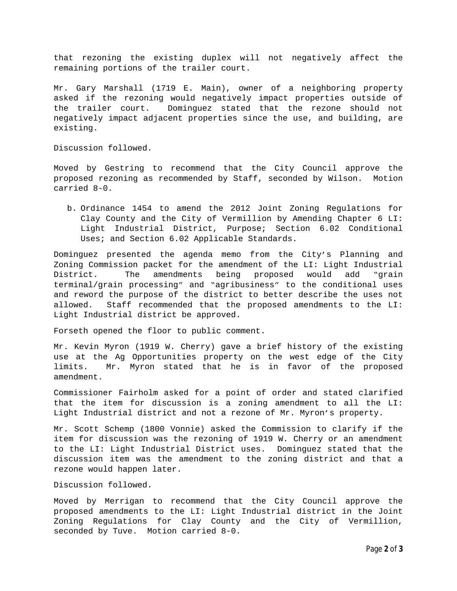that rezoning the existing duplex will not negatively affect the remaining portions of the trailer court.

Mr. Gary Marshall (1719 E. Main), owner of a neighboring property asked if the rezoning would negatively impact properties outside of the trailer court. Dominguez stated that the rezone should not negatively impact adjacent properties since the use, and building, are existing.

Discussion followed.

Moved by Gestring to recommend that the City Council approve the proposed rezoning as recommended by Staff, seconded by Wilson. Motion carried 8-0.

b. Ordinance 1454 to amend the 2012 Joint Zoning Regulations for Clay County and the City of Vermillion by Amending Chapter 6 LI: Light Industrial District, Purpose; Section 6.02 Conditional Uses; and Section 6.02 Applicable Standards.

Dominguez presented the agenda memo from the City's Planning and Zoning Commission packet for the amendment of the LI: Light Industrial District. The amendments being proposed would add "grain terminal/grain processing" and "agribusiness" to the conditional uses and reword the purpose of the district to better describe the uses not allowed. Staff recommended that the proposed amendments to the LI: Light Industrial district be approved.

Forseth opened the floor to public comment.

Mr. Kevin Myron (1919 W. Cherry) gave a brief history of the existing use at the Ag Opportunities property on the west edge of the City limits. Mr. Myron stated that he is in favor of the proposed amendment.

Commissioner Fairholm asked for a point of order and stated clarified that the item for discussion is a zoning amendment to all the LI: Light Industrial district and not a rezone of Mr. Myron's property.

Mr. Scott Schemp (1800 Vonnie) asked the Commission to clarify if the item for discussion was the rezoning of 1919 W. Cherry or an amendment to the LI: Light Industrial District uses. Dominguez stated that the discussion item was the amendment to the zoning district and that a rezone would happen later.

Discussion followed.

Moved by Merrigan to recommend that the City Council approve the proposed amendments to the LI: Light Industrial district in the Joint Zoning Regulations for Clay County and the City of Vermillion, seconded by Tuve. Motion carried 8-0.